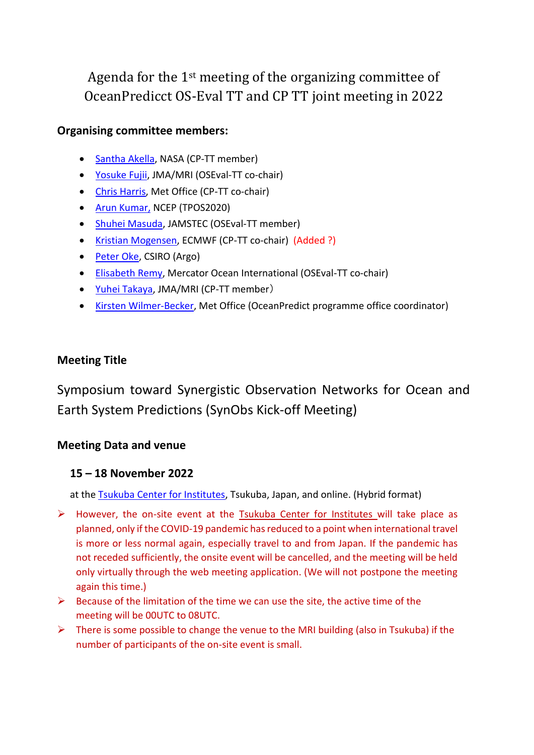Agenda for the 1st meeting of the organizing committee of OceanPredicct OS-Eval TT and CP TT joint meeting in 2022

# **Organising committee members:**

- [Santha Akella,](mailto:yfujii@mri-jma.go.jp) NASA (CP-TT member)
- [Yosuke Fujii,](mailto:yfujii@mri-jma.go.jp) JMA/MRI (OSEval-TT co-chair)
- [Chris Harris,](mailto:christopher.harris@metoffice.gov.uk) Met Office (CP-TT co-chair)
- [Arun Kumar,](mailto:Arun.Kumar@noaa.gov) NCEP (TPOS2020)
- [Shuhei Masuda,](mailto:smasuda@jamstec.go.jp) JAMSTEC (OSEval-TT member)
- [Kristian Mogensen,](mailto:kristian.mogensen@ecmwf.int) ECMWF (CP-TT co-chair) (Added ?)
- [Peter Oke,](mailto:peter.oke@csiro.au) CSIRO (Argo)
- [Elisabeth Remy,](mailto:%20elisabeth.remy@mercator-ocean.fr) Mercator Ocean International (OSEval-TT co-chair)
- [Yuhei Takaya,](mailto:yuhei.takaya@mri-jma.go.jp) JMA/MRI (CP-TT member)
- [Kirsten Wilmer-Becker,](mailto:kirsten.wilmer-becker@metoffice.gov.uk) Met Office (OceanPredict programme office coordinator)

# **Meeting Title**

Symposium toward Synergistic Observation Networks for Ocean and Earth System Predictions (SynObs Kick-off Meeting)

## **Meeting Data and venue**

## **15 – 18 November 2022**

at the [Tsukuba Center for Institutes,](https://www.mext.go.jp/a_menu/kokusai/kouryucenter/english/index.htm) Tsukuba, Japan, and online. (Hybrid format)

- ➢ However, the on-site event at the [Tsukuba Center for Institutes](https://www.mext.go.jp/a_menu/kokusai/kouryucenter/english/index.htm) will take place as planned, only if the COVID-19 pandemic has reduced to a point when international travel is more or less normal again, especially travel to and from Japan. If the pandemic has not receded sufficiently, the onsite event will be cancelled, and the meeting will be held only virtually through the web meeting application. (We will not postpone the meeting again this time.)
- $\triangleright$  Because of the limitation of the time we can use the site, the active time of the meeting will be 00UTC to 08UTC.
- $\triangleright$  There is some possible to change the venue to the MRI building (also in Tsukuba) if the number of participants of the on-site event is small.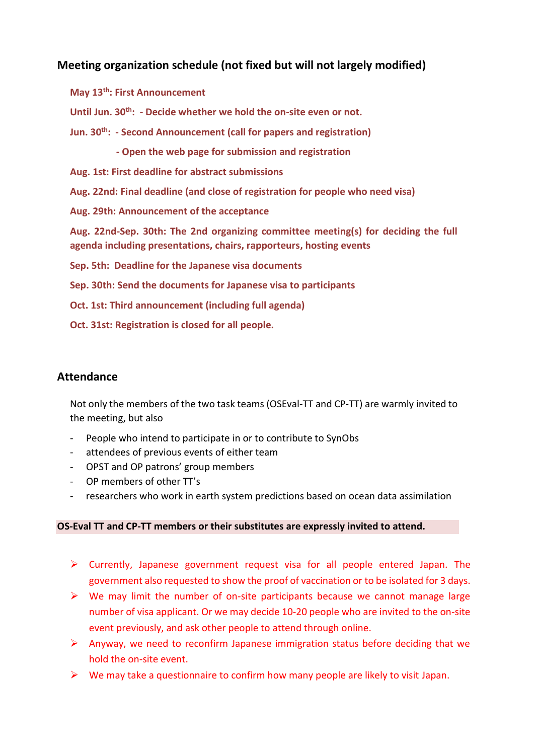# **Meeting organization schedule (not fixed but will not largely modified)**

**May 13th: First Announcement Until Jun. 30th: - Decide whether we hold the on-site even or not. Jun. 30th: - Second Announcement (call for papers and registration) - Open the web page for submission and registration Aug. 1st: First deadline for abstract submissions Aug. 22nd: Final deadline (and close of registration for people who need visa) Aug. 29th: Announcement of the acceptance Aug. 22nd-Sep. 30th: The 2nd organizing committee meeting(s) for deciding the full agenda including presentations, chairs, rapporteurs, hosting events Sep. 5th: Deadline for the Japanese visa documents Sep. 30th: Send the documents for Japanese visa to participants Oct. 1st: Third announcement (including full agenda) Oct. 31st: Registration is closed for all people.**

## **Attendance**

Not only the members of the two task teams (OSEval-TT and CP-TT) are warmly invited to the meeting, but also

- People who intend to participate in or to contribute to SynObs
- attendees of previous events of either team
- OPST and OP patrons' group members
- OP members of other TT's
- researchers who work in earth system predictions based on ocean data assimilation

#### **OS-Eval TT and CP-TT members or their substitutes are expressly invited to attend.**

- $\triangleright$  Currently, Japanese government request visa for all people entered Japan. The government also requested to show the proof of vaccination or to be isolated for 3 days.
- $\triangleright$  We may limit the number of on-site participants because we cannot manage large number of visa applicant. Or we may decide 10-20 people who are invited to the on-site event previously, and ask other people to attend through online.
- $\triangleright$  Anyway, we need to reconfirm Japanese immigration status before deciding that we hold the on-site event.
- $\triangleright$  We may take a questionnaire to confirm how many people are likely to visit Japan.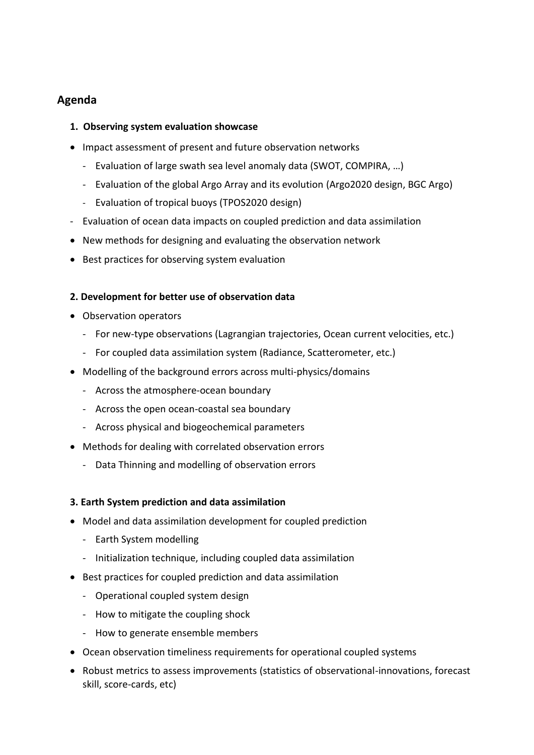# **Agenda**

### **1. Observing system evaluation showcase**

- Impact assessment of present and future observation networks
	- Evaluation of large swath sea level anomaly data (SWOT, COMPIRA, …)
	- Evaluation of the global Argo Array and its evolution (Argo2020 design, BGC Argo)
	- Evaluation of tropical buoys (TPOS2020 design)
- Evaluation of ocean data impacts on coupled prediction and data assimilation
- New methods for designing and evaluating the observation network
- Best practices for observing system evaluation

#### **2. Development for better use of observation data**

- Observation operators
	- For new-type observations (Lagrangian trajectories, Ocean current velocities, etc.)
	- For coupled data assimilation system (Radiance, Scatterometer, etc.)
- Modelling of the background errors across multi-physics/domains
	- Across the atmosphere-ocean boundary
	- Across the open ocean-coastal sea boundary
	- Across physical and biogeochemical parameters
- Methods for dealing with correlated observation errors
	- Data Thinning and modelling of observation errors

#### **3. Earth System prediction and data assimilation**

- Model and data assimilation development for coupled prediction
	- Earth System modelling
	- Initialization technique, including coupled data assimilation
- Best practices for coupled prediction and data assimilation
	- Operational coupled system design
	- How to mitigate the coupling shock
	- How to generate ensemble members
- Ocean observation timeliness requirements for operational coupled systems
- Robust metrics to assess improvements (statistics of observational-innovations, forecast skill, score-cards, etc)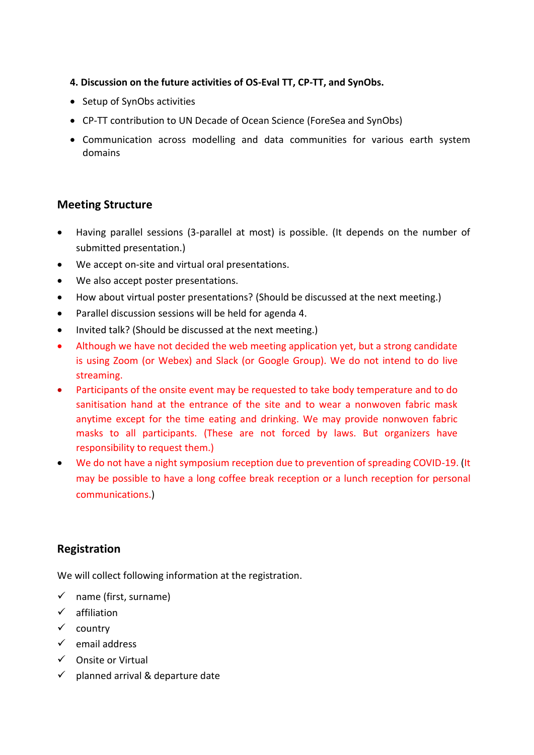- **4. Discussion on the future activities of OS-Eval TT, CP-TT, and SynObs.**
- Setup of SynObs activities
- CP-TT contribution to UN Decade of Ocean Science (ForeSea and SynObs)
- Communication across modelling and data communities for various earth system domains

### **Meeting Structure**

- Having parallel sessions (3-parallel at most) is possible. (It depends on the number of submitted presentation.)
- We accept on-site and virtual oral presentations.
- We also accept poster presentations.
- How about virtual poster presentations? (Should be discussed at the next meeting.)
- Parallel discussion sessions will be held for agenda 4.
- Invited talk? (Should be discussed at the next meeting.)
- Although we have not decided the web meeting application yet, but a strong candidate is using Zoom (or Webex) and Slack (or Google Group). We do not intend to do live streaming.
- Participants of the onsite event may be requested to take body temperature and to do sanitisation hand at the entrance of the site and to wear a nonwoven fabric mask anytime except for the time eating and drinking. We may provide nonwoven fabric masks to all participants. (These are not forced by laws. But organizers have responsibility to request them.)
- We do not have a night symposium reception due to prevention of spreading COVID-19. (It may be possible to have a long coffee break reception or a lunch reception for personal communications.)

### **Registration**

We will collect following information at the registration.

- $\checkmark$  name (first, surname)
- ✓ affiliation
- ✓ country
- ✓ email address
- ✓ Onsite or Virtual
- $\checkmark$  planned arrival & departure date